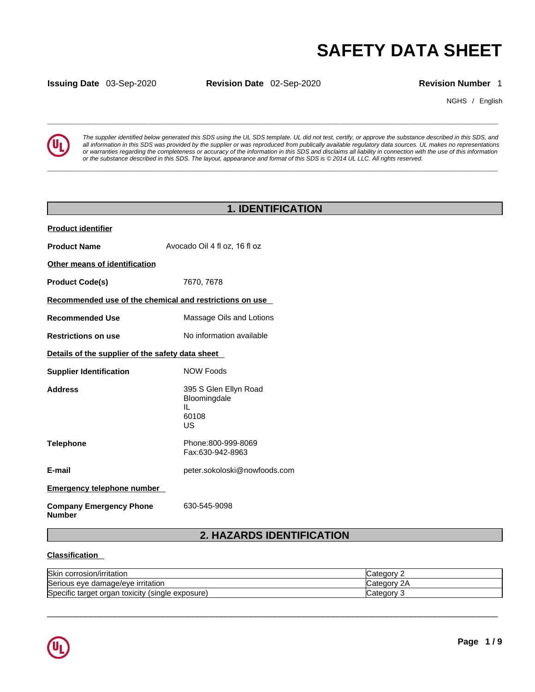NGHS / English



**SAFETY DATA SHEET**<br> **SECUTER ALL SECUTER ALL SECUTER ALL SECUTER ALL SECUTER ALL SECUTER ALL SECUTER ALL SECUTER ALL SECUTER ALL SECUTE<br>
The supplier identified below generated this SDS using the UL SDS template. UL did n** *The supplier identified below generated this SDS using the UL SDS template. UL did not test, certify, or approve the substance described in this SDS, and all information in this SDS was provided by the supplier or was reproduced from publically available regulatory data sources. UL makes no representations or warranties regarding the completeness or accuracy of the information in this SDS and disclaims all liability in connection with the use of this information or the substance described in this SDS. The layout, appearance and format of this SDS is © 2014 UL LLC. All rights reserved.* 

|                                                         |                                                            |                                                                                                                              | <b>SAFETY DATA SHEE</b>                                                                                                                                                                                                                                                                                                                                                                                                                                                                |
|---------------------------------------------------------|------------------------------------------------------------|------------------------------------------------------------------------------------------------------------------------------|----------------------------------------------------------------------------------------------------------------------------------------------------------------------------------------------------------------------------------------------------------------------------------------------------------------------------------------------------------------------------------------------------------------------------------------------------------------------------------------|
| <b>Issuing Date 03-Sep-2020</b>                         | Revision Date 02-Sep-2020                                  |                                                                                                                              | <b>Revision Number</b>                                                                                                                                                                                                                                                                                                                                                                                                                                                                 |
|                                                         |                                                            |                                                                                                                              | NGHS / Engl                                                                                                                                                                                                                                                                                                                                                                                                                                                                            |
|                                                         |                                                            | or the substance described in this SDS. The layout, appearance and format of this SDS is © 2014 UL LLC. All rights reserved. | The supplier identified below generated this SDS using the UL SDS template. UL did not test, certify, or approve the substance described in this SDS, are<br>all information in this SDS was provided by the supplier or was reproduced from publically available regulatory data sources. UL makes no representatio<br>or warranties regarding the completeness or accuracy of the information in this SDS and disclaims all liability in connection with the use of this information |
|                                                         |                                                            | <b>1. IDENTIFICATION</b>                                                                                                     |                                                                                                                                                                                                                                                                                                                                                                                                                                                                                        |
|                                                         |                                                            |                                                                                                                              |                                                                                                                                                                                                                                                                                                                                                                                                                                                                                        |
| <b>Product identifier</b>                               |                                                            |                                                                                                                              |                                                                                                                                                                                                                                                                                                                                                                                                                                                                                        |
| <b>Product Name</b>                                     | Avocado Oil 4 fl oz, 16 fl oz                              |                                                                                                                              |                                                                                                                                                                                                                                                                                                                                                                                                                                                                                        |
| Other means of identification                           |                                                            |                                                                                                                              |                                                                                                                                                                                                                                                                                                                                                                                                                                                                                        |
| <b>Product Code(s)</b>                                  | 7670, 7678                                                 |                                                                                                                              |                                                                                                                                                                                                                                                                                                                                                                                                                                                                                        |
| Recommended use of the chemical and restrictions on use |                                                            |                                                                                                                              |                                                                                                                                                                                                                                                                                                                                                                                                                                                                                        |
| <b>Recommended Use</b>                                  | Massage Oils and Lotions                                   |                                                                                                                              |                                                                                                                                                                                                                                                                                                                                                                                                                                                                                        |
| <b>Restrictions on use</b>                              | No information available                                   |                                                                                                                              |                                                                                                                                                                                                                                                                                                                                                                                                                                                                                        |
| Details of the supplier of the safety data sheet        |                                                            |                                                                                                                              |                                                                                                                                                                                                                                                                                                                                                                                                                                                                                        |
| <b>Supplier Identification</b>                          | <b>NOW Foods</b>                                           |                                                                                                                              |                                                                                                                                                                                                                                                                                                                                                                                                                                                                                        |
| <b>Address</b>                                          | 395 S Glen Ellyn Road<br>Bloomingdale<br>IL<br>60108<br>US |                                                                                                                              |                                                                                                                                                                                                                                                                                                                                                                                                                                                                                        |
| <b>Telephone</b>                                        | Phone:800-999-8069<br>Fax:630-942-8963                     |                                                                                                                              |                                                                                                                                                                                                                                                                                                                                                                                                                                                                                        |
| E-mail                                                  | peter.sokoloski@nowfoods.com                               |                                                                                                                              |                                                                                                                                                                                                                                                                                                                                                                                                                                                                                        |
| <b>Emergency telephone number</b>                       |                                                            |                                                                                                                              |                                                                                                                                                                                                                                                                                                                                                                                                                                                                                        |
| <b>Company Emergency Phone</b><br><b>Number</b>         | 630-545-9098                                               |                                                                                                                              |                                                                                                                                                                                                                                                                                                                                                                                                                                                                                        |
|                                                         |                                                            | 2. HAZARDS IDENTIFICATION                                                                                                    |                                                                                                                                                                                                                                                                                                                                                                                                                                                                                        |
| <b>Classification</b>                                   |                                                            |                                                                                                                              |                                                                                                                                                                                                                                                                                                                                                                                                                                                                                        |
| Skin corrosion/irritation                               |                                                            |                                                                                                                              | Category 2                                                                                                                                                                                                                                                                                                                                                                                                                                                                             |

### **Classification**

| <b>Skin</b><br>corrosion/irritation                    | ′ ategoryب                           |
|--------------------------------------------------------|--------------------------------------|
| Serious eye damage/eye irritation                      | $\Omega$<br>Category 1<br>$\epsilon$ |
| Specific target organ<br>toxicity<br>(single exposure) | Category                             |

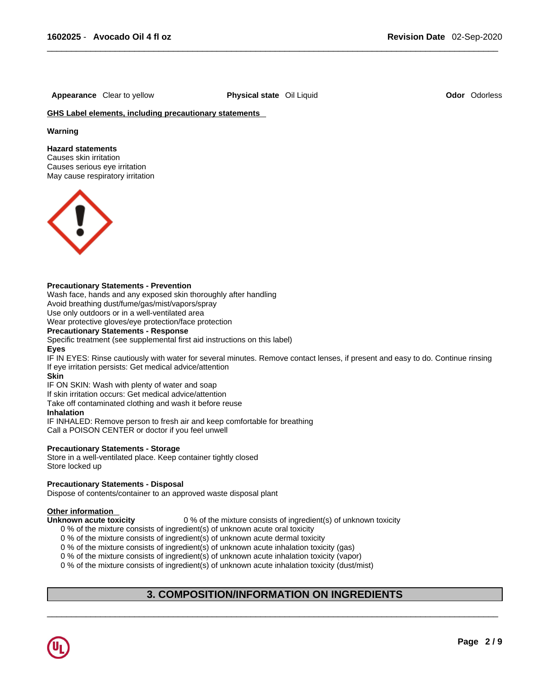**Appearance** Clear to yellow **Physical state** Oil Liquid **Odor** Odorless

### **GHS Label elements, including precautionary statements**

### **Warning**

### **Hazard statements**

Causes skin irritation Causes serious eye irritation May cause respiratory irritation



### **Precautionary Statements - Prevention**

Wash face, hands and any exposed skin thoroughly after handling Avoid breathing dust/fume/gas/mist/vapors/spray

Use only outdoors or in a well-ventilated area

Wear protective gloves/eye protection/face protection

### **Precautionary Statements - Response**

Specific treatment (see supplemental first aid instructions on this label)

#### **Eyes**

IF IN EYES: Rinse cautiously with water for several minutes. Remove contact lenses, if present and easy to do. Continue rinsing If eye irritation persists: Get medical advice/attention

### **Skin**

IF ON SKIN: Wash with plenty of water and soap

If skin irritation occurs: Get medical advice/attention

Take off contaminated clothing and wash it before reuse

#### **Inhalation**

IF INHALED: Remove person to fresh air and keep comfortable for breathing Call a POISON CENTER or doctor if you feel unwell

### **Precautionary Statements - Storage**

Store in a well-ventilated place. Keep container tightly closed Store locked up

### **Precautionary Statements - Disposal**

Dispose of contents/container to an approved waste disposal plant

### **Other information**

**Unknown acute toxicity** 0 % of the mixture consists of ingredient(s) of unknown toxicity

0 % of the mixture consists of ingredient(s) of unknown acute oral toxicity

0 % of the mixture consists of ingredient(s) of unknown acute dermal toxicity

0 % of the mixture consists of ingredient(s) of unknown acute inhalation toxicity (gas)

0 % of the mixture consists of ingredient(s) of unknown acute inhalation toxicity (vapor)

0 % of the mixture consists of ingredient(s) of unknown acute inhalation toxicity (dust/mist)

# **3. COMPOSITION/INFORMATION ON INGREDIENTS**

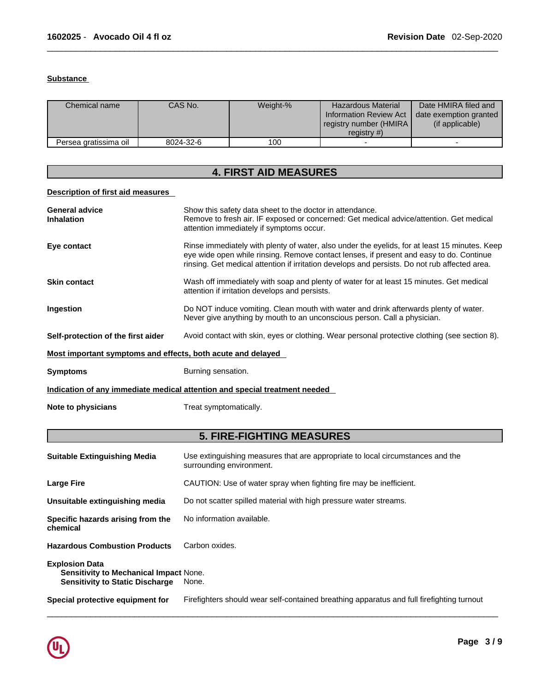### **Substance**

| Chemical name         | CAS No.   | Weight-% | <b>Hazardous Material</b><br>Information Review Act<br>registry number (HMIRA)<br>registry $#$ ) | Date HMIRA filed and<br>date exemption granted<br>(if applicable) |
|-----------------------|-----------|----------|--------------------------------------------------------------------------------------------------|-------------------------------------------------------------------|
| Persea gratissima oil | 8024-32-6 | 100      |                                                                                                  |                                                                   |

# **4. FIRST AID MEASURES**

## **Description of first aid measures**

| <b>General advice</b><br><b>Inhalation</b>                                 | Show this safety data sheet to the doctor in attendance.<br>Remove to fresh air. IF exposed or concerned: Get medical advice/attention. Get medical<br>attention immediately if symptoms occur.                                                                                           |  |
|----------------------------------------------------------------------------|-------------------------------------------------------------------------------------------------------------------------------------------------------------------------------------------------------------------------------------------------------------------------------------------|--|
| Eye contact                                                                | Rinse immediately with plenty of water, also under the eyelids, for at least 15 minutes. Keep<br>eye wide open while rinsing. Remove contact lenses, if present and easy to do. Continue<br>rinsing. Get medical attention if irritation develops and persists. Do not rub affected area. |  |
| <b>Skin contact</b>                                                        | Wash off immediately with soap and plenty of water for at least 15 minutes. Get medical<br>attention if irritation develops and persists.                                                                                                                                                 |  |
| Ingestion                                                                  | Do NOT induce vomiting. Clean mouth with water and drink afterwards plenty of water.<br>Never give anything by mouth to an unconscious person. Call a physician.                                                                                                                          |  |
| Self-protection of the first aider                                         | Avoid contact with skin, eyes or clothing. Wear personal protective clothing (see section 8).                                                                                                                                                                                             |  |
| Most important symptoms and effects, both acute and delayed                |                                                                                                                                                                                                                                                                                           |  |
| <b>Symptoms</b>                                                            | Burning sensation.                                                                                                                                                                                                                                                                        |  |
| Indication of any immediate medical attention and special treatment needed |                                                                                                                                                                                                                                                                                           |  |
| Note to physicians                                                         | Treat symptomatically.                                                                                                                                                                                                                                                                    |  |

# **5. FIRE-FIGHTING MEASURES**

| <b>Suitable Extinguishing Media</b>                                                                              | Use extinguishing measures that are appropriate to local circumstances and the<br>surrounding environment. |
|------------------------------------------------------------------------------------------------------------------|------------------------------------------------------------------------------------------------------------|
| <b>Large Fire</b>                                                                                                | CAUTION: Use of water spray when fighting fire may be inefficient.                                         |
| Unsuitable extinguishing media                                                                                   | Do not scatter spilled material with high pressure water streams.                                          |
| Specific hazards arising from the<br>chemical                                                                    | No information available.                                                                                  |
| <b>Hazardous Combustion Products</b>                                                                             | Carbon oxides.                                                                                             |
| <b>Explosion Data</b><br><b>Sensitivity to Mechanical Impact None.</b><br><b>Sensitivity to Static Discharge</b> | None.                                                                                                      |
| Special protective equipment for                                                                                 | Firefighters should wear self-contained breathing apparatus and full firefighting turnout                  |

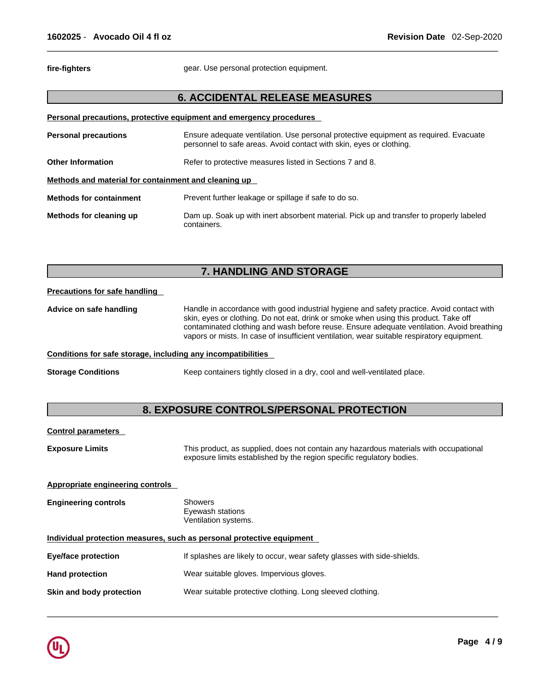fire-fighters **gear.** Use personal protection equipment.

# **6. ACCIDENTAL RELEASE MEASURES**

| Personal precautions, protective equipment and emergency procedures |                                                                                                                                                             |  |
|---------------------------------------------------------------------|-------------------------------------------------------------------------------------------------------------------------------------------------------------|--|
| <b>Personal precautions</b>                                         | Ensure adequate ventilation. Use personal protective equipment as required. Evacuate<br>personnel to safe areas. Avoid contact with skin, eyes or clothing. |  |
| <b>Other Information</b>                                            | Refer to protective measures listed in Sections 7 and 8.                                                                                                    |  |
| Methods and material for containment and cleaning up                |                                                                                                                                                             |  |
| <b>Methods for containment</b>                                      | Prevent further leakage or spillage if safe to do so.                                                                                                       |  |
| Methods for cleaning up                                             | Dam up. Soak up with inert absorbent material. Pick up and transfer to properly labeled<br>containers.                                                      |  |

# **7. HANDLING AND STORAGE**

### **Precautions for safe handling**

**Advice on safe handling** Handle in accordance with good industrial hygiene and safety practice. Avoid contact with skin, eyes or clothing. Do not eat, drink or smoke when using this product. Take off contaminated clothing and wash before reuse. Ensure adequate ventilation. Avoid breathing vapors or mists. In case of insufficient ventilation, wear suitable respiratory equipment.

### **Conditions for safe storage, including any incompatibilities**

**Storage Conditions** Keep containers tightly closed in a dry, cool and well-ventilated place.

# **8. EXPOSURE CONTROLS/PERSONAL PROTECTION**

### **Control parameters**

**Exposure Limits** This product, as supplied, does not contain any hazardous materials with occupational exposure limits established by the region specific regulatory bodies.

 $\_$  ,  $\_$  ,  $\_$  ,  $\_$  ,  $\_$  ,  $\_$  ,  $\_$  ,  $\_$  ,  $\_$  ,  $\_$  ,  $\_$  ,  $\_$  ,  $\_$  ,  $\_$  ,  $\_$  ,  $\_$  ,  $\_$  ,  $\_$  ,  $\_$  ,  $\_$  ,  $\_$  ,  $\_$  ,  $\_$  ,  $\_$  ,  $\_$  ,  $\_$  ,  $\_$  ,  $\_$  ,  $\_$  ,  $\_$  ,  $\_$  ,  $\_$  ,  $\_$  ,  $\_$  ,  $\_$  ,  $\_$  ,  $\_$  ,

### **Appropriate engineering controls**

**Engineering controls** Showers Eyewash stations Ventilation systems.

## **Individual protection measures, such as personal protective equipment**

| Eye/face protection      | If splashes are likely to occur, wear safety glasses with side-shields. |
|--------------------------|-------------------------------------------------------------------------|
| <b>Hand protection</b>   | Wear suitable gloves. Impervious gloves.                                |
| Skin and body protection | Wear suitable protective clothing. Long sleeved clothing.               |

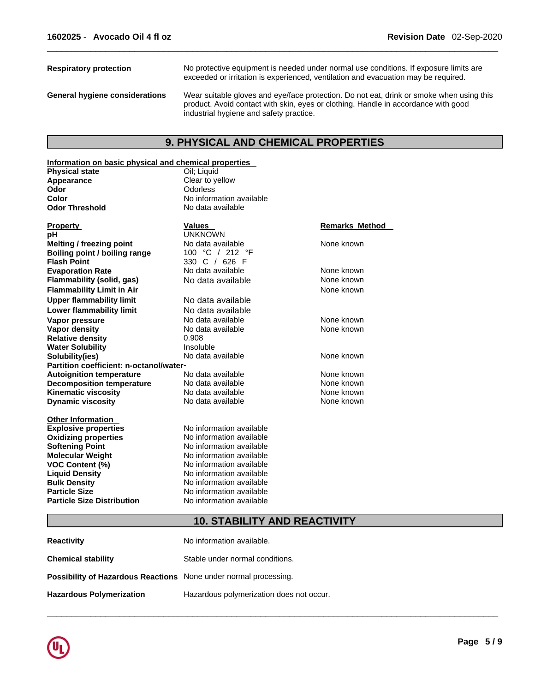| <b>Respiratory protection</b>         | No protective equipment is needed under normal use conditions. If exposure limits are<br>exceeded or irritation is experienced, ventilation and evacuation may be required.                                               |
|---------------------------------------|---------------------------------------------------------------------------------------------------------------------------------------------------------------------------------------------------------------------------|
| <b>General hygiene considerations</b> | Wear suitable gloves and eye/face protection. Do not eat, drink or smoke when using this<br>product. Avoid contact with skin, eyes or clothing. Handle in accordance with good<br>industrial hygiene and safety practice. |

# **9. PHYSICAL AND CHEMICAL PROPERTIES**

## **Information on basic physical and chemical properties**

| <u>miormation on basic physical and chemical properties</u> |                          |                       |
|-------------------------------------------------------------|--------------------------|-----------------------|
| <b>Physical state</b>                                       | Oil: Liguid              |                       |
| Appearance                                                  | Clear to yellow          |                       |
| Odor                                                        | Odorless                 |                       |
| Color                                                       | No information available |                       |
| <b>Odor Threshold</b>                                       | No data available        |                       |
|                                                             |                          |                       |
| <b>Property</b>                                             | <b>Values</b>            | <b>Remarks Method</b> |
| pH                                                          | <b>UNKNOWN</b>           |                       |
| <b>Melting / freezing point</b>                             | No data available        | None known            |
| Boiling point / boiling range                               | 100 °C / 212 °F          |                       |
| <b>Flash Point</b>                                          | 330 C / 626 F            |                       |
| <b>Evaporation Rate</b>                                     | No data available        | None known            |
| Flammability (solid, gas)                                   | No data available        | None known            |
| <b>Flammability Limit in Air</b>                            |                          | None known            |
| <b>Upper flammability limit</b>                             | No data available        |                       |
| <b>Lower flammability limit</b>                             | No data available        |                       |
| Vapor pressure                                              | No data available        | None known            |
| <b>Vapor density</b>                                        | No data available        | None known            |
| <b>Relative density</b>                                     | 0.908                    |                       |
| <b>Water Solubility</b>                                     | Insoluble                |                       |
| Solubility(ies)                                             | No data available        | None known            |
| Partition coefficient: n-octanol/water-                     |                          |                       |
| <b>Autoignition temperature</b>                             | No data available        | None known            |
| <b>Decomposition temperature</b>                            | No data available        | None known            |
| <b>Kinematic viscosity</b>                                  | No data available        | None known            |
| <b>Dynamic viscosity</b>                                    | No data available        | None known            |
|                                                             |                          |                       |
| <b>Other Information</b>                                    | No information available |                       |
| <b>Explosive properties</b>                                 |                          |                       |
| <b>Oxidizing properties</b>                                 | No information available |                       |
| <b>Softening Point</b>                                      | No information available |                       |
| <b>Molecular Weight</b>                                     | No information available |                       |
| <b>VOC Content (%)</b>                                      | No information available |                       |
| <b>Liquid Density</b>                                       | No information available |                       |
| <b>Bulk Density</b>                                         | No information available |                       |
| <b>Particle Size</b>                                        | No information available |                       |
| <b>Particle Size Distribution</b>                           | No information available |                       |

# **10. STABILITY AND REACTIVITY**

| <b>Reactivity</b>                                                       | No information available.                |
|-------------------------------------------------------------------------|------------------------------------------|
| <b>Chemical stability</b>                                               | Stable under normal conditions.          |
| <b>Possibility of Hazardous Reactions</b> None under normal processing. |                                          |
| <b>Hazardous Polymerization</b>                                         | Hazardous polymerization does not occur. |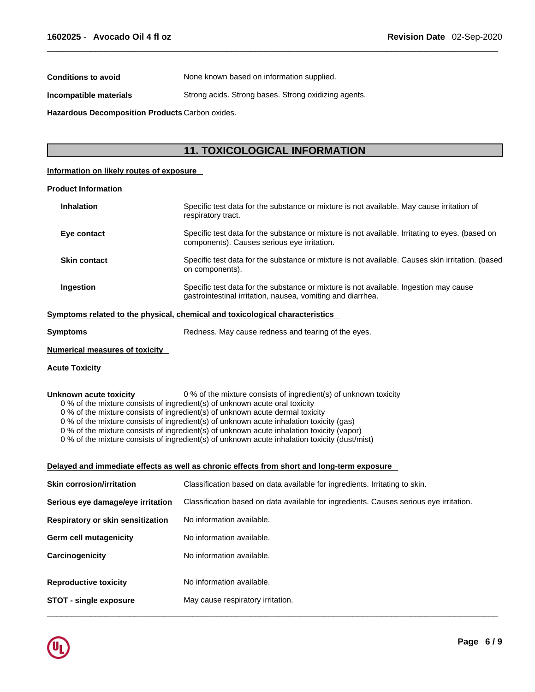**Conditions to avoid** None known based on information supplied.

**Incompatible materials** Strong acids. Strong bases. Strong oxidizing agents.

**Hazardous Decomposition Products** Carbon oxides.

# **11. TOXICOLOGICAL INFORMATION**

### **Information on likely routes of exposure**

### **Product Information**

| <b>Inhalation</b>   | Specific test data for the substance or mixture is not available. May cause irritation of<br>respiratory tract.                                      |
|---------------------|------------------------------------------------------------------------------------------------------------------------------------------------------|
| Eye contact         | Specific test data for the substance or mixture is not available. Irritating to eyes. (based on<br>components). Causes serious eye irritation.       |
| <b>Skin contact</b> | Specific test data for the substance or mixture is not available. Causes skin irritation. (based<br>on components).                                  |
| Ingestion           | Specific test data for the substance or mixture is not available. Ingestion may cause<br>gastrointestinal irritation, nausea, vomiting and diarrhea. |

### **<u>Symptoms related to the physical, chemical and toxicological characteristics</u>**

### **Numerical measures of toxicity**

### **Acute Toxicity**

### **Unknown acute toxicity** 0 % of the mixture consists of ingredient(s) of unknown toxicity

0 % of the mixture consists of ingredient(s) of unknown acute oral toxicity

 $0$  % of the mixture consists of ingredient(s) of unknown acute dermal toxicity

0 % of the mixture consists of ingredient(s) of unknown acute inhalation toxicity (gas)

0 % of the mixture consists of ingredient(s) of unknown acute inhalation toxicity (vapor)

0 % of the mixture consists of ingredient(s) of unknown acute inhalation toxicity (dust/mist)

### **Delayed and immediate effects as well as chronic effects from short and long-term exposure**

| <b>Skin corrosion/irritation</b>                              | Classification based on data available for ingredients. Irritating to skin.            |
|---------------------------------------------------------------|----------------------------------------------------------------------------------------|
| Serious eye damage/eye irritation                             | Classification based on data available for ingredients. Causes serious eve irritation. |
| Respiratory or skin sensitization                             | No information available.                                                              |
| <b>Germ cell mutagenicity</b>                                 | No information available.                                                              |
| Carcinogenicity                                               | No information available.                                                              |
| <b>Reproductive toxicity</b><br><b>STOT - single exposure</b> | No information available.<br>May cause respiratory irritation.                         |
|                                                               |                                                                                        |

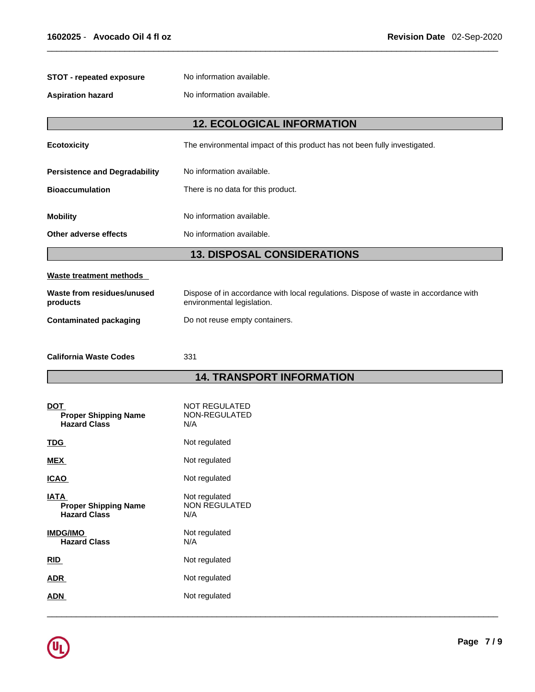| <b>STOT - repeated exposure</b>            | No information available.                                                                                          |  |  |  |  |  |
|--------------------------------------------|--------------------------------------------------------------------------------------------------------------------|--|--|--|--|--|
| <b>Aspiration hazard</b>                   | No information available.                                                                                          |  |  |  |  |  |
|                                            | <b>12. ECOLOGICAL INFORMATION</b>                                                                                  |  |  |  |  |  |
|                                            |                                                                                                                    |  |  |  |  |  |
| <b>Ecotoxicity</b>                         | The environmental impact of this product has not been fully investigated.                                          |  |  |  |  |  |
| <b>Persistence and Degradability</b>       | No information available.                                                                                          |  |  |  |  |  |
| <b>Bioaccumulation</b>                     | There is no data for this product.                                                                                 |  |  |  |  |  |
| <b>Mobility</b>                            | No information available.                                                                                          |  |  |  |  |  |
| Other adverse effects                      | No information available.                                                                                          |  |  |  |  |  |
|                                            |                                                                                                                    |  |  |  |  |  |
|                                            | <b>13. DISPOSAL CONSIDERATIONS</b>                                                                                 |  |  |  |  |  |
| Waste treatment methods                    |                                                                                                                    |  |  |  |  |  |
| Waste from residues/unused<br>products     | Dispose of in accordance with local regulations. Dispose of waste in accordance with<br>environmental legislation. |  |  |  |  |  |
| <b>Contaminated packaging</b>              | Do not reuse empty containers.                                                                                     |  |  |  |  |  |
|                                            |                                                                                                                    |  |  |  |  |  |
| <b>California Waste Codes</b>              | 331                                                                                                                |  |  |  |  |  |
|                                            | <b>14. TRANSPORT INFORMATION</b>                                                                                   |  |  |  |  |  |
|                                            |                                                                                                                    |  |  |  |  |  |
| <b>DOT</b><br><b>Proper Shipping Name</b>  | <b>NOT REGULATED</b><br>NON-REGULATED                                                                              |  |  |  |  |  |
| <b>Hazard Class</b>                        | N/A                                                                                                                |  |  |  |  |  |
| <b>TDG</b>                                 | Not regulated                                                                                                      |  |  |  |  |  |
| <b>MEX</b>                                 | Not regulated                                                                                                      |  |  |  |  |  |
| <b>ICAO</b>                                | Not regulated                                                                                                      |  |  |  |  |  |
| <b>IATA</b><br><b>Proper Shipping Name</b> | Not regulated<br>NON REGULATED                                                                                     |  |  |  |  |  |
| <b>Hazard Class</b>                        | N/A                                                                                                                |  |  |  |  |  |
| <b>IMDG/IMO</b><br><b>Hazard Class</b>     | Not regulated<br>N/A                                                                                               |  |  |  |  |  |
| RID                                        | Not regulated                                                                                                      |  |  |  |  |  |
| <b>ADR</b>                                 | Not regulated                                                                                                      |  |  |  |  |  |
| <b>ADN</b>                                 | Not regulated                                                                                                      |  |  |  |  |  |
|                                            |                                                                                                                    |  |  |  |  |  |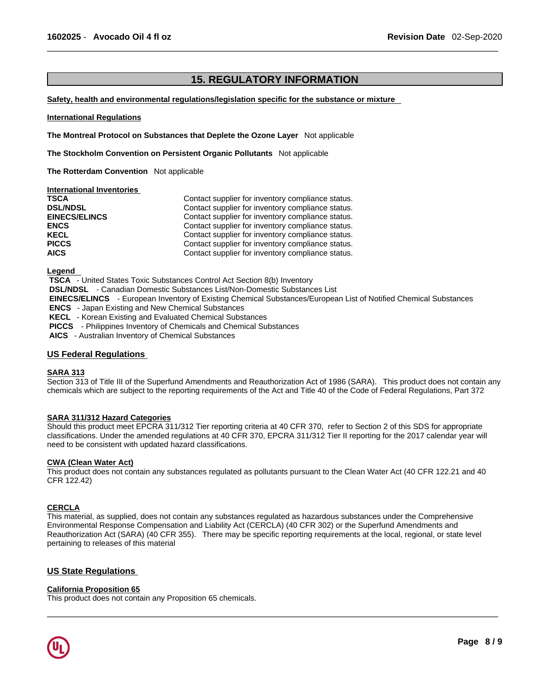# **15. REGULATORY INFORMATION**

### **Safety, health and environmental regulations/legislation specific for the substance or mixture**

### **International Regulations**

**The Montreal Protocol on Substances that Deplete the Ozone Layer** Not applicable

**The Stockholm Convention on Persistent Organic Pollutants** Not applicable

**The Rotterdam Convention** Not applicable

### **International Inventories**

| <b>TSCA</b>          | Contact supplier for inventory compliance status. |
|----------------------|---------------------------------------------------|
| <b>DSL/NDSL</b>      | Contact supplier for inventory compliance status. |
| <b>EINECS/ELINCS</b> | Contact supplier for inventory compliance status. |
| <b>ENCS</b>          | Contact supplier for inventory compliance status. |
| <b>KECL</b>          | Contact supplier for inventory compliance status. |
| <b>PICCS</b>         | Contact supplier for inventory compliance status. |
| <b>AICS</b>          | Contact supplier for inventory compliance status. |

**Legend** 

 **TSCA** - United States Toxic Substances Control Act Section 8(b) Inventory

 **DSL/NDSL** - Canadian Domestic Substances List/Non-Domestic Substances List

 **EINECS/ELINCS** - European Inventory of Existing Chemical Substances/European List of Notified Chemical Substances

 **ENCS** - Japan Existing and New Chemical Substances

 **KECL** - Korean Existing and Evaluated Chemical Substances

 **PICCS** - Philippines Inventory of Chemicals and Chemical Substances

 **AICS** - Australian Inventory of Chemical Substances

### **US Federal Regulations**

### **SARA 313**

Section 313 of Title III of the Superfund Amendments and Reauthorization Act of 1986 (SARA). This product does not contain any chemicals which are subject to the reporting requirements of the Act and Title 40 of the Code of Federal Regulations, Part 372

### **SARA 311/312 Hazard Categories**

Should this product meet EPCRA 311/312 Tier reporting criteria at 40 CFR 370, refer to Section 2 of this SDS for appropriate classifications. Under the amended regulations at 40 CFR 370, EPCRA 311/312 Tier II reporting for the 2017 calendar year will need to be consistent with updated hazard classifications.

### **CWA (Clean WaterAct)**

This product does not contain any substances regulated as pollutants pursuant to the Clean Water Act (40 CFR 122.21 and 40 CFR 122.42)

### **CERCLA**

This material, as supplied, does not contain any substances regulated as hazardous substances under the Comprehensive Environmental Response Compensation and Liability Act (CERCLA) (40 CFR 302) or the Superfund Amendments and Reauthorization Act (SARA) (40 CFR 355). There may be specific reporting requirements at the local, regional, or state level pertaining to releases of this material

 $\_$  ,  $\_$  ,  $\_$  ,  $\_$  ,  $\_$  ,  $\_$  ,  $\_$  ,  $\_$  ,  $\_$  ,  $\_$  ,  $\_$  ,  $\_$  ,  $\_$  ,  $\_$  ,  $\_$  ,  $\_$  ,  $\_$  ,  $\_$  ,  $\_$  ,  $\_$  ,  $\_$  ,  $\_$  ,  $\_$  ,  $\_$  ,  $\_$  ,  $\_$  ,  $\_$  ,  $\_$  ,  $\_$  ,  $\_$  ,  $\_$  ,  $\_$  ,  $\_$  ,  $\_$  ,  $\_$  ,  $\_$  ,  $\_$  ,

### **US State Regulations**

### **California Proposition 65**

This product does not contain any Proposition 65 chemicals.